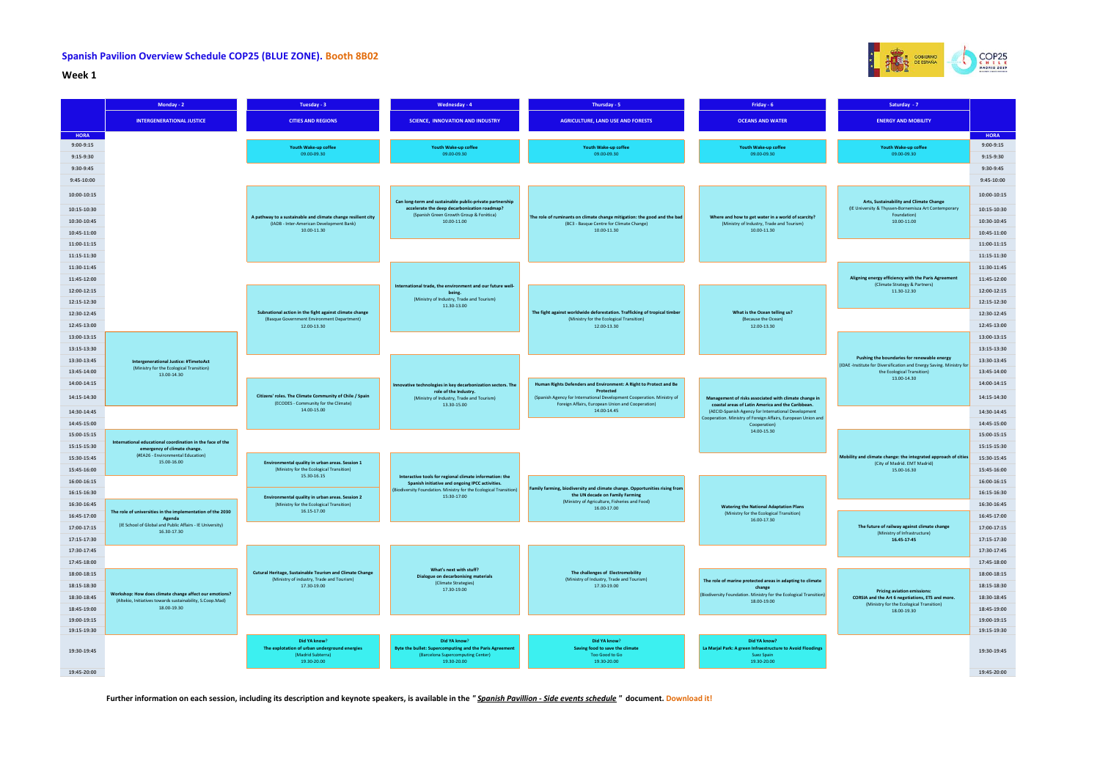

## **Week 1**

| Saturday - 7                                                                                                        |             |
|---------------------------------------------------------------------------------------------------------------------|-------------|
| <b>ENERGY AND MOBILITY</b>                                                                                          |             |
|                                                                                                                     | <b>HORA</b> |
| Youth Wake-up coffee                                                                                                | $9:00-9:15$ |
| 09.00-09.30                                                                                                         | 9:15-9:30   |
|                                                                                                                     | 9:30-9:45   |
|                                                                                                                     | 9:45-10:00  |
| Arts, Sustainability and Climate Change                                                                             | 10:00-10:15 |
| (IE University & Thyssen-Bornemisza Art Contemporary<br>Foundation)                                                 | 10:15-10:30 |
| 10.00-11.00                                                                                                         | 10:30-10:45 |
|                                                                                                                     | 10:45-11:00 |
|                                                                                                                     | 11:00-11:15 |
|                                                                                                                     | 11:15-11:30 |
|                                                                                                                     | 11:30-11:45 |
| Aligning energy efficiency with the Paris Agreement<br>(Climate Strategy & Partners)                                | 11:45-12:00 |
| 11.30-12.30                                                                                                         | 12:00-12:15 |
|                                                                                                                     | 12:15-12:30 |
|                                                                                                                     | 12:30-12:45 |
|                                                                                                                     | 12:45-13:00 |
|                                                                                                                     | 13:00-13:15 |
|                                                                                                                     | 13:15-13:30 |
| Pushing the boundaries for renewable energy<br>(IDAE -Institute for Diversification and Energy Saving. Ministry for | 13:30-13:45 |
| the Ecological Transition)                                                                                          | 13:45-14:00 |
| 13.00-14.30                                                                                                         | 14:00-14:15 |
|                                                                                                                     | 14:15-14:30 |
|                                                                                                                     | 14:30-14:45 |
|                                                                                                                     | 14:45-15:00 |
|                                                                                                                     | 15:00-15:15 |
|                                                                                                                     | 15:15-15:30 |
| Mobility and climate change: the integrated approach of cities<br>(City of Madrid. EMT Madrid)                      | 15:30-15:45 |
| 15.00-16.30                                                                                                         | 15:45-16:00 |
|                                                                                                                     | 16:00-16:15 |
|                                                                                                                     | 16:15-16:30 |
|                                                                                                                     | 16:30-16:45 |
|                                                                                                                     | 16:45-17:00 |
| The future of railway against climate change<br>(Ministry of Infrastructure)                                        | 17:00-17:15 |
| 16.45-17-45                                                                                                         | 17:15-17:30 |
|                                                                                                                     | 17:30-17:45 |
|                                                                                                                     | 17:45-18:00 |
|                                                                                                                     | 18:00-18:15 |
| <b>Pricing aviation emissions:</b>                                                                                  | 18:15-18:30 |
| CORSIA and the Art 6 negotiations, ETS and more.<br>(Ministry for the Ecological Transition)<br>18.00-19.30         | 18:30-18:45 |
|                                                                                                                     | 18:45-19:00 |
|                                                                                                                     | 19:00-19:15 |
|                                                                                                                     | 19:15-19:30 |
|                                                                                                                     | 19:30-19:45 |
|                                                                                                                     | 19:45-20:00 |

## **Spanish Pavilion Overview Schedule COP25 (BLUE ZONE). Booth 8B02**

**Further information on each session, including its description and keynote speakers, is available in the** *" Spanish Pavillion - Side events schedule "* **document. Download it!**